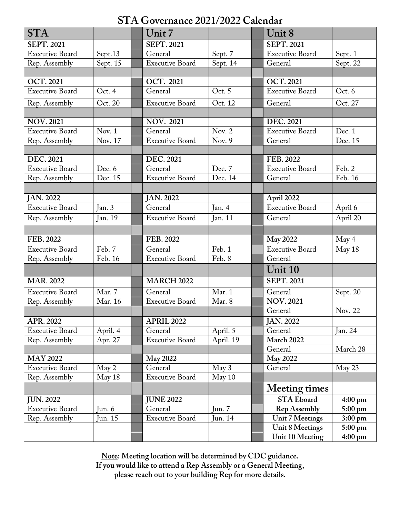# **STA Governance 2021/2022 Calendar**

| <b>STA</b>             |          | Unit 7                 |                     | Unit 8                 |                   |
|------------------------|----------|------------------------|---------------------|------------------------|-------------------|
| <b>SEPT. 2021</b>      |          | <b>SEPT. 2021</b>      |                     | <b>SEPT. 2021</b>      |                   |
| <b>Executive Board</b> | Sept.13  | General                | Sept. 7             | <b>Executive Board</b> | Sept. 1           |
| Rep. Assembly          | Sept. 15 | <b>Executive Board</b> | Sept. 14            | General                | Sept. 22          |
|                        |          |                        |                     |                        |                   |
| <b>OCT. 2021</b>       |          | <b>OCT. 2021</b>       |                     | <b>OCT. 2021</b>       |                   |
| <b>Executive Board</b> | Oct. 4   | General                | Oct. 5              | <b>Executive Board</b> | Oct. 6            |
| Rep. Assembly          | Oct. 20  | <b>Executive Board</b> | Oct. 12             | General                | Oct. 27           |
|                        |          |                        |                     |                        |                   |
| <b>NOV. 2021</b>       |          | <b>NOV. 2021</b>       |                     | <b>DEC. 2021</b>       |                   |
| <b>Executive Board</b> | Nov. $1$ | General                | Nov. $2$            | <b>Executive Board</b> | Dec. 1            |
| Rep. Assembly          | Nov. 17  | <b>Executive Board</b> | Nov. $\overline{9}$ | General                | Dec. 15           |
|                        |          |                        |                     |                        |                   |
| <b>DEC. 2021</b>       |          | <b>DEC. 2021</b>       |                     | FEB. 2022              |                   |
| <b>Executive Board</b> | Dec. 6   | General                | Dec. 7              | Executive Board        | Feb. 2            |
| Rep. Assembly          | Dec. 15  | <b>Executive Board</b> | Dec. 14             | General                | Feb. 16           |
|                        |          |                        |                     |                        |                   |
| <b>JAN. 2022</b>       |          | JAN. 2022              |                     | April 2022             |                   |
| <b>Executive Board</b> | Jan. 3   | General                | Jan. 4              | <b>Executive Board</b> | April 6           |
| Rep. Assembly          | Jan. 19  | <b>Executive Board</b> | Jan. 11             | General                | April 20          |
|                        |          |                        |                     |                        |                   |
| FEB. 2022              |          | FEB. 2022              |                     | <b>May 2022</b>        | May 4             |
| <b>Executive Board</b> | Feb. 7   | General                | Feb. 1              | <b>Executive Board</b> | May 18            |
| Rep. Assembly          | Feb. 16  | <b>Executive Board</b> | Feb. 8              | General                |                   |
|                        |          |                        |                     | Unit 10                |                   |
| <b>MAR. 2022</b>       |          | <b>MARCH 2022</b>      |                     | <b>SEPT. 2021</b>      |                   |
| <b>Executive Board</b> | Mar. 7   | General                | Mar. 1              | General                | Sept. 20          |
| Rep. Assembly          | Mar. 16  | <b>Executive Board</b> | Mar. 8              | <b>NOV.2021</b>        |                   |
|                        |          |                        |                     | General                | Nov. 22           |
| APR. 2022              |          | <b>APRIL 2022</b>      |                     | <b>JAN. 2022</b>       |                   |
| <b>Executive Board</b> | April. 4 | General                | April. 5            | General                | Jan. 24           |
| Rep. Assembly          | Apr. 27  | <b>Executive Board</b> | April. 19           | March 2022             |                   |
|                        |          |                        |                     | General                | March 28          |
| <b>MAY 2022</b>        |          | <b>May 2022</b>        |                     | <b>May 2022</b>        |                   |
| <b>Executive Board</b> | May 2    | General                | May 3               | General                | May 23            |
| Rep. Assembly          | May 18   | Executive Board        | May 10              |                        |                   |
|                        |          |                        |                     | <b>Meeting times</b>   |                   |
| <b>JUN. 2022</b>       |          | <b>JUNE 2022</b>       |                     | <b>STA Eboard</b>      | $4:00 \text{ pm}$ |
| <b>Executive Board</b> | Jun. 6   | General                | Jun. $7$            | <b>Rep Assembly</b>    | $5:00 \text{ pm}$ |
| Rep. Assembly          | Jun. 15  | <b>Executive Board</b> | Jun. 14             | <b>Unit 7 Meetings</b> | $3:00 \text{ pm}$ |
|                        |          |                        |                     | <b>Unit 8 Meetings</b> | $5:00 \text{ pm}$ |
|                        |          |                        |                     | Unit 10 Meeting        | $4:00 \text{ pm}$ |

**Note: Meeting location will be determined by CDC guidance. If you would like to attend a Rep Assembly or a General Meeting, please reach out to your building Rep for more details.**